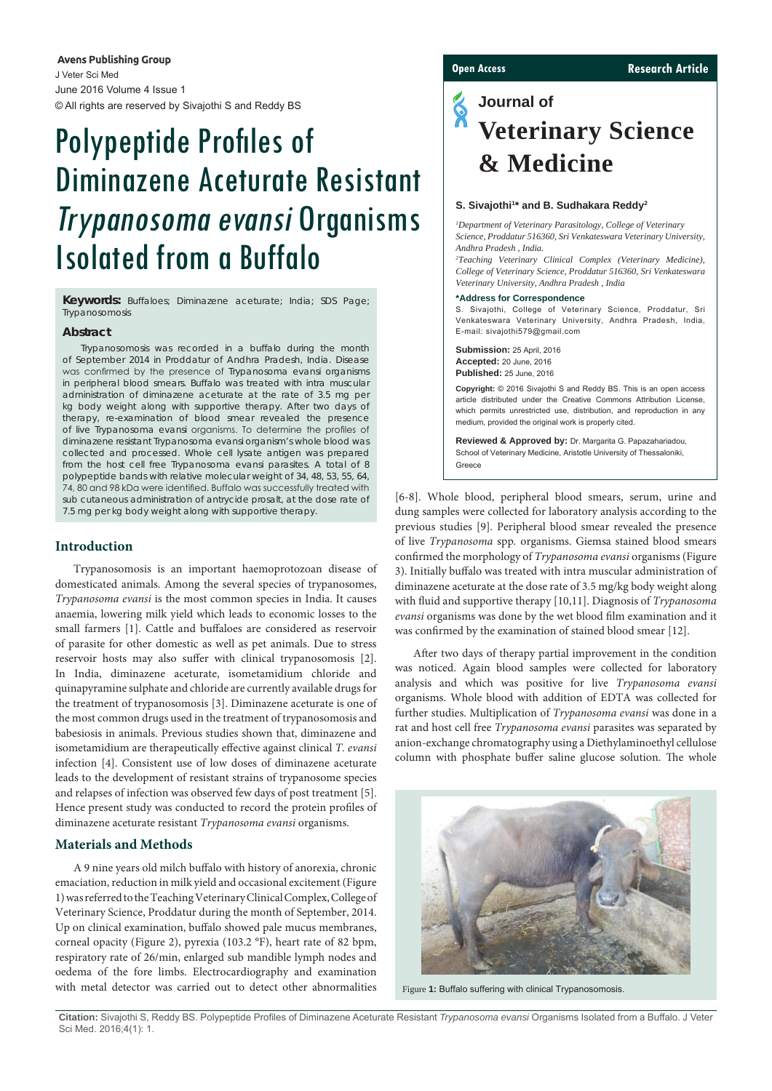**Avens Publishing Group** J Veter Sci Med June 2016 Volume 4 Issue 1 © All rights are reserved by Sivajothi S and Reddy BS

# Polypeptide Profiles of Diminazene Aceturate Resistant Trypanosoma evansi Organisms Isolated from a Buffalo

**Keywords:** Buffaloes; Diminazene aceturate; India; SDS Page; Trypanosomosis

# **Abstract**

Trypanosomosis was recorded in a buffalo during the month of September 2014 in Proddatur of Andhra Pradesh, India. Disease was confirmed by the presence of *Trypanosoma evansi* organisms in peripheral blood smears. Buffalo was treated with intra muscular administration of diminazene aceturate at the rate of 3.5 mg per kg body weight along with supportive therapy. After two days of therapy, re-examination of blood smear revealed the presence of live *Trypanosoma evansi* organisms. To determine the profiles of diminazene resistant *Trypanosoma evansi* organism's whole blood was collected and processed. Whole cell lysate antigen was prepared from the host cell free *Trypanosoma evansi* parasites. A total of 8 polypeptide bands with relative molecular weight of 34, 48, 53, 55, 64, 74, 80 and 98 kDa were identified. Buffalo was successfully treated with sub cutaneous administration of antrycide prosalt, at the dose rate of 7.5 mg per kg body weight along with supportive therapy.

# **Introduction**

Trypanosomosis is an important haemoprotozoan disease of domesticated animals. Among the several species of trypanosomes, *Trypanosoma evansi* is the most common species in India. It causes anaemia, lowering milk yield which leads to economic losses to the small farmers [1]. Cattle and buffaloes are considered as reservoir of parasite for other domestic as well as pet animals. Due to stress reservoir hosts may also suffer with clinical trypanosomosis [2]. In India, diminazene aceturate, isometamidium chloride and quinapyramine sulphate and chloride are currently available drugs for the treatment of trypanosomosis [3]. Diminazene aceturate is one of the most common drugs used in the treatment of trypanosomosis and babesiosis in animals. Previous studies shown that, diminazene and isometamidium are therapeutically effective against clinical *T. evansi*  infection [4]. Consistent use of low doses of diminazene aceturate leads to the development of resistant strains of trypanosome species and relapses of infection was observed few days of post treatment [5]. Hence present study was conducted to record the protein profiles of diminazene aceturate resistant *Trypanosoma evansi* organisms.

# **Materials and Methods**

A 9 nine years old milch buffalo with history of anorexia, chronic emaciation, reduction in milk yield and occasional excitement (Figure 1) was referred to the Teaching Veterinary Clinical Complex, College of Veterinary Science, Proddatur during the month of September, 2014. Up on clinical examination, buffalo showed pale mucus membranes, corneal opacity (Figure 2), pyrexia (103.2 °F), heart rate of 82 bpm, respiratory rate of 26/min, enlarged sub mandible lymph nodes and oedema of the fore limbs. Electrocardiography and examination with metal detector was carried out to detect other abnormalities

# **Open Access Research Article**

# **Journal of Veterinary Science & Medicine**

#### S. Sivajothi<sup>1\*</sup> and B. Sudhakara Reddy<sup>2</sup>

*1 Department of Veterinary Parasitology, College of Veterinary Science, Proddatur 516360, Sri Venkateswara Veterinary University, Andhra Pradesh , India.*

*2 Teaching Veterinary Clinical Complex (Veterinary Medicine), College of Veterinary Science, Proddatur 516360, Sri Venkateswara Veterinary University, Andhra Pradesh , India*

#### **\*Address for Correspondence**

S. Sivajothi, College of Veterinary Science, Proddatur, Sri Venkateswara Veterinary University, Andhra Pradesh, India, E-mail: [sivajothi579@gmail.com](mailto:sivajothi579@gmail.com) 

**Submission:** 25 April, 2016 **Accepted:** 20 June, 2016 **Published:** 25 June, 2016

**Copyright:** © 2016 Sivajothi S and Reddy BS. This is an open access article distributed under the Creative Commons Attribution License, which permits unrestricted use, distribution, and reproduction in any medium, provided the original work is properly cited.

**Reviewed & Approved by:** Dr. Margarita G. Papazahariadou, School of Veterinary Medicine, Aristotle University of Thessaloniki, Greece

[6-8]. Whole blood, peripheral blood smears, serum, urine and dung samples were collected for laboratory analysis according to the previous studies [9]. Peripheral blood smear revealed the presence of live *Trypanosoma* spp*.* organisms. Giemsa stained blood smears confirmed the morphology of *Trypanosoma evansi* organisms (Figure 3). Initially buffalo was treated with intra muscular administration of diminazene aceturate at the dose rate of 3.5 mg/kg body weight along with fluid and supportive therapy [10,11]. Diagnosis of *Trypanosoma evansi* organisms was done by the wet blood film examination and it was confirmed by the examination of stained blood smear [12].

After two days of therapy partial improvement in the condition was noticed. Again blood samples were collected for laboratory analysis and which was positive for live *Trypanosoma evansi*  organisms. Whole blood with addition of EDTA was collected for further studies. Multiplication of *Trypanosoma evansi* was done in a rat and host cell free *Trypanosoma evansi* parasites was separated by anion-exchange chromatography using a Diethylaminoethyl cellulose column with phosphate buffer saline glucose solution. The whole



Figure **1:** Buffalo suffering with clinical Trypanosomosis.

**Citation:** Sivajothi S, Reddy BS. Polypeptide Profiles of Diminazene Aceturate Resistant *Trypanosoma evansi* Organisms Isolated from a Buffalo. J Veter Sci Med. 2016;4(1): 1.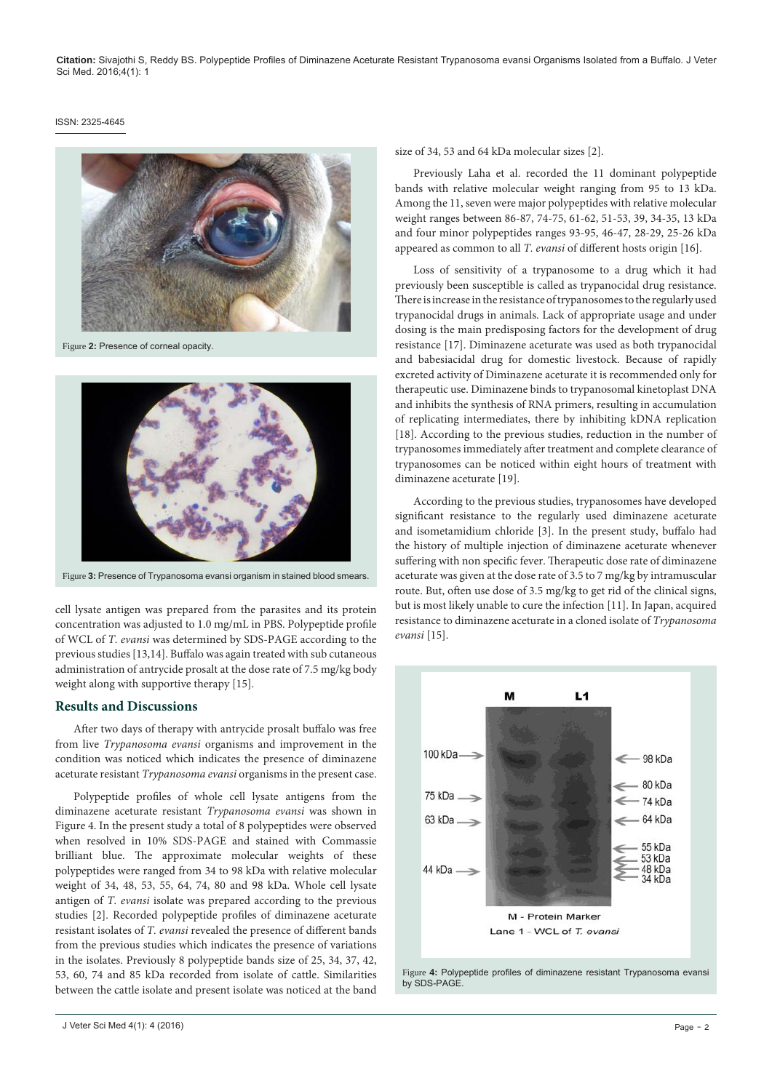#### ISSN: 2325-4645



Figure **2:** Presence of corneal opacity.



Figure **3:** Presence of Trypanosoma evansi organism in stained blood smears.

cell lysate antigen was prepared from the parasites and its protein concentration was adjusted to 1.0 mg/mL in PBS. Polypeptide profile of WCL of *T. evansi* was determined by SDS-PAGE according to the previous studies [13,14]. Buffalo was again treated with sub cutaneous administration of antrycide prosalt at the dose rate of 7.5 mg/kg body weight along with supportive therapy [15].

## **Results and Discussions**

After two days of therapy with antrycide prosalt buffalo was free from live *Trypanosoma evansi* organisms and improvement in the condition was noticed which indicates the presence of diminazene aceturate resistant *Trypanosoma evansi* organisms in the present case.

Polypeptide profiles of whole cell lysate antigens from the diminazene aceturate resistant *Trypanosoma evansi* was shown in Figure 4. In the present study a total of 8 polypeptides were observed when resolved in 10% SDS-PAGE and stained with Commassie brilliant blue. The approximate molecular weights of these polypeptides were ranged from 34 to 98 kDa with relative molecular weight of 34, 48, 53, 55, 64, 74, 80 and 98 kDa. Whole cell lysate antigen of *T. evansi* isolate was prepared according to the previous studies [2]. Recorded polypeptide profiles of diminazene aceturate resistant isolates of *T. evansi* revealed the presence of different bands from the previous studies which indicates the presence of variations in the isolates. Previously 8 polypeptide bands size of 25, 34, 37, 42, 53, 60, 74 and 85 kDa recorded from isolate of cattle. Similarities between the cattle isolate and present isolate was noticed at the band

size of 34, 53 and 64 kDa molecular sizes [2].

Previously Laha et al. recorded the 11 dominant polypeptide bands with relative molecular weight ranging from 95 to 13 kDa. Among the 11, seven were major polypeptides with relative molecular weight ranges between 86-87, 74-75, 61-62, 51-53, 39, 34-35, 13 kDa and four minor polypeptides ranges 93-95, 46-47, 28-29, 25-26 kDa appeared as common to all *T. evansi* of different hosts origin [16].

Loss of sensitivity of a trypanosome to a drug which it had previously been susceptible is called as trypanocidal drug resistance. There is increase in the resistance of trypanosomes to the regularly used trypanocidal drugs in animals. Lack of appropriate usage and under dosing is the main predisposing factors for the development of drug resistance [17]. Diminazene aceturate was used as both trypanocidal and babesiacidal drug for domestic livestock. Because of rapidly excreted activity of Diminazene aceturate it is recommended only for therapeutic use. Diminazene binds to trypanosomal kinetoplast DNA and inhibits the synthesis of RNA primers, resulting in accumulation of replicating intermediates, there by inhibiting kDNA replication [18]. According to the previous studies, reduction in the number of trypanosomes immediately after treatment and complete clearance of trypanosomes can be noticed within eight hours of treatment with diminazene aceturate [19].

According to the previous studies, trypanosomes have developed significant resistance to the regularly used diminazene aceturate and isometamidium chloride [3]. In the present study, buffalo had the history of multiple injection of diminazene aceturate whenever suffering with non specific fever. Therapeutic dose rate of diminazene aceturate was given at the dose rate of 3.5 to 7 mg/kg by intramuscular route. But, often use dose of 3.5 mg/kg to get rid of the clinical signs, but is most likely unable to cure the infection [11]. In Japan, acquired resistance to diminazene aceturate in a cloned isolate of *Trypanosoma evansi* [15].



Figure **4:** Polypeptide profiles of diminazene resistant Trypanosoma evansi by SDS-PAGE.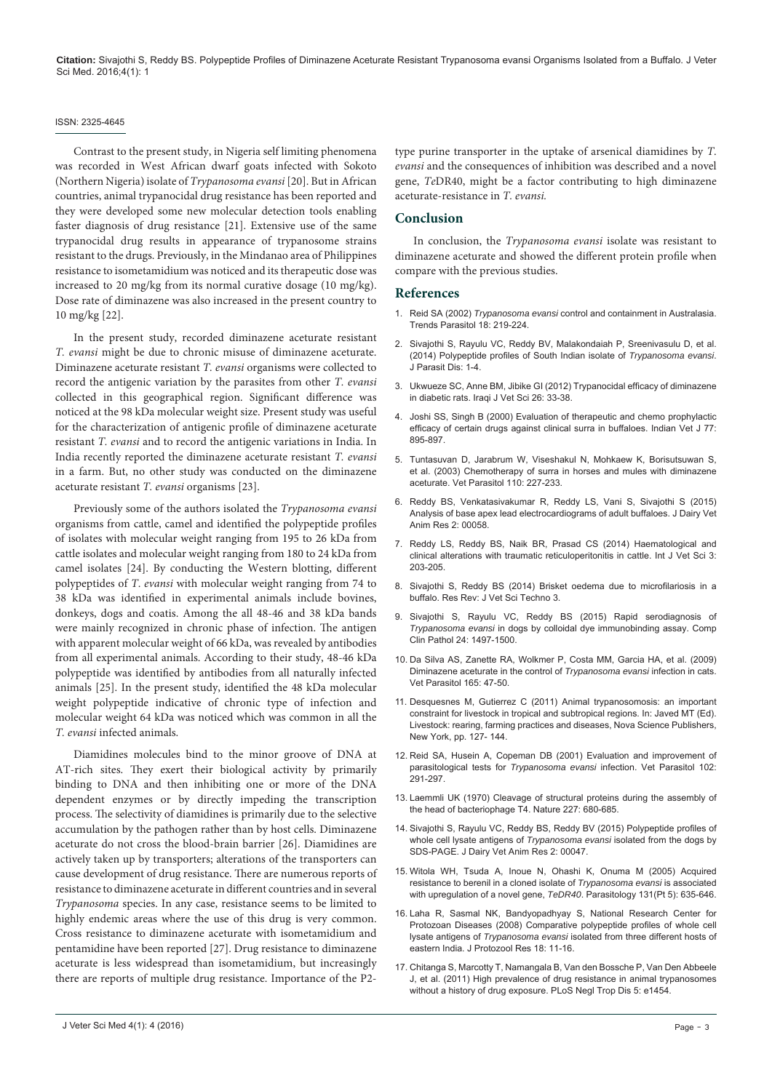**Citation:** Sivajothi S, Reddy BS. Polypeptide Profiles of Diminazene Aceturate Resistant Trypanosoma evansi Organisms Isolated from a Buffalo. J Veter Sci Med. 2016;4(1): 1

#### ISSN: 2325-4645

Contrast to the present study, in Nigeria self limiting phenomena was recorded in West African dwarf goats infected with Sokoto (Northern Nigeria) isolate of *Trypanosoma evansi* [20]. But in African countries, animal trypanocidal drug resistance has been reported and they were developed some new molecular detection tools enabling faster diagnosis of drug resistance [21]. Extensive use of the same trypanocidal drug results in appearance of trypanosome strains resistant to the drugs. Previously, in the Mindanao area of Philippines resistance to isometamidium was noticed and its therapeutic dose was increased to 20 mg/kg from its normal curative dosage (10 mg/kg). Dose rate of diminazene was also increased in the present country to 10 mg/kg [22].

In the present study, recorded diminazene aceturate resistant *T. evansi* might be due to chronic misuse of diminazene aceturate. Diminazene aceturate resistant *T. evansi* organisms were collected to record the antigenic variation by the parasites from other *T. evansi*  collected in this geographical region. Significant difference was noticed at the 98 kDa molecular weight size. Present study was useful for the characterization of antigenic profile of diminazene aceturate resistant *T. evansi* and to record the antigenic variations in India. In India recently reported the diminazene aceturate resistant *T. evansi*  in a farm. But, no other study was conducted on the diminazene aceturate resistant *T. evansi* organisms [23].

Previously some of the authors isolated the *Trypanosoma evansi* organisms from cattle, camel and identified the polypeptide profiles of isolates with molecular weight ranging from 195 to 26 kDa from cattle isolates and molecular weight ranging from 180 to 24 kDa from camel isolates [24]. By conducting the Western blotting, different polypeptides of *T*. *evansi* with molecular weight ranging from 74 to 38 kDa was identified in experimental animals include bovines, donkeys, dogs and coatis. Among the all 48-46 and 38 kDa bands were mainly recognized in chronic phase of infection. The antigen with apparent molecular weight of 66 kDa, was revealed by antibodies from all experimental animals. According to their study, 48-46 kDa polypeptide was identified by antibodies from all naturally infected animals [25]. In the present study, identified the 48 kDa molecular weight polypeptide indicative of chronic type of infection and molecular weight 64 kDa was noticed which was common in all the *T. evansi* infected animals.

Diamidines molecules bind to the minor groove of DNA at AT-rich sites. They exert their biological activity by primarily binding to DNA and then inhibiting one or more of the DNA dependent enzymes or by directly impeding the transcription process. The selectivity of diamidines is primarily due to the selective accumulation by the pathogen rather than by host cells. Diminazene aceturate do not cross the blood-brain barrier [26]. Diamidines are actively taken up by transporters; alterations of the transporters can cause development of drug resistance. There are numerous reports of resistance to diminazene aceturate in different countries and in several *Trypanosoma* species. In any case, resistance seems to be limited to highly endemic areas where the use of this drug is very common. Cross resistance to diminazene aceturate with isometamidium and pentamidine have been reported [27]. Drug resistance to diminazene aceturate is less widespread than isometamidium, but increasingly there are reports of multiple drug resistance. Importance of the P2type purine transporter in the uptake of arsenical diamidines by *T*. *evansi* and the consequences of inhibition was described and a novel gene, *Te*DR40, might be a factor contributing to high diminazene aceturate-resistance in *T. evansi.* 

# **Conclusion**

In conclusion, the *Trypanosoma evansi* isolate was resistant to diminazene aceturate and showed the different protein profile when compare with the previous studies.

#### **References**

- 1. Reid SA (2002) *Trypanosoma evansi* [control and containment in Australasia.](http://www.ncbi.nlm.nih.gov/pubmed/11983603)  [Trends Parasitol 18: 219-224.](http://www.ncbi.nlm.nih.gov/pubmed/11983603)
- 2. [Sivajothi S, Rayulu VC, Reddy BV, Malakondaiah P, Sreenivasulu D, et al.](http://link.springer.com/article/10.1007%2Fs12639-014-0552-1)  [\(2014\) Polypeptide profiles of South Indian isolate of](http://link.springer.com/article/10.1007%2Fs12639-014-0552-1) *Trypanosoma evansi*. [J Parasit Dis: 1-4.](http://link.springer.com/article/10.1007%2Fs12639-014-0552-1)
- 3. [Ukwueze SC, Anne BM, Jibike GI \(2012\) Trypanocidal efficacy of diminazene](http://vetmedmosul.org/ijvs/media/12-1-8e.pdf)  [in diabetic rats. Iraqi J Vet Sci 26: 33-38.](http://vetmedmosul.org/ijvs/media/12-1-8e.pdf)
- 4. [Joshi SS, Singh B \(2000\) Evaluation of therapeutic and chemo prophylactic](http://www.cabdirect.org/abstracts/20003035315.html)  [efficacy of certain drugs against clinical surra in buffaloes. Indian Vet J](http://www.cabdirect.org/abstracts/20003035315.html) 77: [895-897.](http://www.cabdirect.org/abstracts/20003035315.html)
- 5. [Tuntasuvan D, Jarabrum W, Viseshakul N, Mohkaew K, Borisutsuwan S,](http://www.ncbi.nlm.nih.gov/pubmed/12482651)  [et al. \(2003\) Chemotherapy of surra in horses and mules with diminazene](http://www.ncbi.nlm.nih.gov/pubmed/12482651)  [aceturate. Vet Parasitol 110: 227-233.](http://www.ncbi.nlm.nih.gov/pubmed/12482651)
- 6. [Reddy BS, Venkatasivakumar R, Reddy LS, Vani S, Sivajothi S \(2015\)](http://medcraveonline.com/JDVAR/JDVAR-02-00058.pdf)  [Analysis of base apex lead electrocardiograms of adult buffaloes. J Dairy Vet](http://medcraveonline.com/JDVAR/JDVAR-02-00058.pdf)  [Anim Res 2: 00058.](http://medcraveonline.com/JDVAR/JDVAR-02-00058.pdf)
- 7. [Reddy LS, Reddy BS, Naik BR, Prasad CS \(2014\) Haematological and](http://www.cabdirect.org/abstracts/20143408640.html)  [clinical alterations with traumatic reticuloperitonitis in cattle. Int J Vet Sci 3:](http://www.cabdirect.org/abstracts/20143408640.html)  [203-205.](http://www.cabdirect.org/abstracts/20143408640.html)
- 8. [Sivajothi S, Reddy BS \(2014\) Brisket oedema due to microfilariosis in a](http://stmjournals.com/sci/index.php?journal=RRJoVST&page=article&op=view&path%5B%5D=737)  [buffalo. Res Rev: J Vet Sci Techno](http://stmjournals.com/sci/index.php?journal=RRJoVST&page=article&op=view&path%5B%5D=737) 3.
- 9. [Sivajothi S, Rayulu VC, Reddy BS \(2015\) Rapid serodiagnosis of](http://link.springer.com/article/10.1007%2Fs00580-015-2106-z)  *Trypanosoma evansi* [in dogs by colloidal dye immunobinding assay. Comp](http://link.springer.com/article/10.1007%2Fs00580-015-2106-z)  [Clin Pathol 24: 1497-1500.](http://link.springer.com/article/10.1007%2Fs00580-015-2106-z)
- 10. [Da Silva AS, Zanette RA, Wolkmer P, Costa MM, Garcia HA, et al. \(2009\)](http://www.ncbi.nlm.nih.gov/pubmed/19631469)  [Diminazene aceturate in the control of](http://www.ncbi.nlm.nih.gov/pubmed/19631469) *Trypanosoma evansi* infection in cats. [Vet Parasitol](http://www.ncbi.nlm.nih.gov/pubmed/19631469) 165: 47-50.
- 11. [Desquesnes M, Gutierrez C \(2011\) Animal trypanosomosis: an important](https://www.novapublishers.com/catalog/product_info.php?products_id=22373)  [constraint for livestock in tropical and subtropical regions. In: Javed MT \(Ed\).](https://www.novapublishers.com/catalog/product_info.php?products_id=22373)  [Livestock: rearing, farming practices and diseases, Nova Science Publishers,](https://www.novapublishers.com/catalog/product_info.php?products_id=22373)  [New York, pp. 127- 144.](https://www.novapublishers.com/catalog/product_info.php?products_id=22373)
- 12. [Reid SA, Husein A, Copeman DB \(2001\) Evaluation and improvement of](http://www.ncbi.nlm.nih.gov/pubmed/11731072)  parasitological tests for *Trypanosoma evansi* [infection. Vet Parasitol 102:](http://www.ncbi.nlm.nih.gov/pubmed/11731072)  [291-297.](http://www.ncbi.nlm.nih.gov/pubmed/11731072)
- 13. [Laemmli UK \(1970\) Cleavage of structural proteins during the assembly of](http://www.ncbi.nlm.nih.gov/pubmed/5432063)  [the head of bacteriophage T4. Nature 227: 680-685.](http://www.ncbi.nlm.nih.gov/pubmed/5432063)
- 14. [Sivajothi S, Rayulu VC, Reddy BS, Reddy BV \(2015\) Polypeptide profiles of](http://medcraveonline.com/JDVAR/JDVAR-02-00047.pdf)  [whole cell lysate antigens of](http://medcraveonline.com/JDVAR/JDVAR-02-00047.pdf) *Trypanosoma evansi* isolated from the dogs by [SDS-PAGE. J Dairy Vet Anim Res 2: 00047.](http://medcraveonline.com/JDVAR/JDVAR-02-00047.pdf)
- 15. [Witola WH, Tsuda A, Inoue N, Ohashi K, Onuma M \(2005\) Acquired](http://www.ncbi.nlm.nih.gov/pubmed/16255822)  [resistance to berenil in a cloned isolate of](http://www.ncbi.nlm.nih.gov/pubmed/16255822) *Trypanosoma evansi* is associated [with upregulation of a novel gene,](http://www.ncbi.nlm.nih.gov/pubmed/16255822) *TeDR40*. Parasitology 131(Pt 5): 635-646.
- 16. [Laha R, Sasmal NK, Bandyopadhyay S, National Research Center for](http://jairo.nii.ac.jp/0093/00001352/en)  [Protozoan Diseases \(2008\) Comparative polypeptide profiles of whole cell](http://jairo.nii.ac.jp/0093/00001352/en)  lysate antigens of *Trypanosoma evansi* [isolated from three different hosts of](http://jairo.nii.ac.jp/0093/00001352/en)  [eastern India. J Protozool Res 18: 11-16.](http://jairo.nii.ac.jp/0093/00001352/en)
- 17. [Chitanga S, Marcotty T, Namangala B, Van den Bossche P, Van Den Abbeele](http://www.ncbi.nlm.nih.gov/pubmed/22206039)  [J, et al. \(2011\) High prevalence of drug resistance in animal trypanosomes](http://www.ncbi.nlm.nih.gov/pubmed/22206039)  [without a history of drug exposure. PLoS Negl Trop Dis 5: e1454.](http://www.ncbi.nlm.nih.gov/pubmed/22206039)